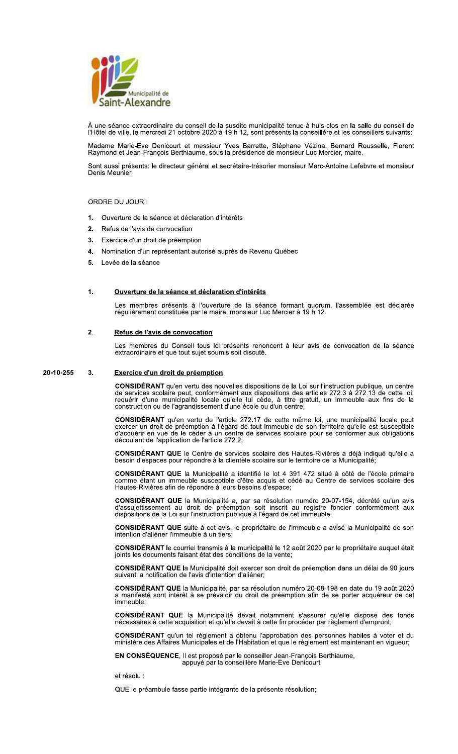

A une seance extraordinaire du conseil de la susdité municipalité tenue à nuis clos en la salle du conseil de l'Hotel de Ville, le mercredi 21 octobre 2020 à 19 n 12, sont presents la conseillere et les conseillers suivants:<br>.

r Hotel de ville, le mercredi 21 octobre 2020 a 19 n 12, sont presents la conseillere et les conseillers suivants:<br>Madame<sub>,</sub> Marie-Eve, Denicourt, et messieur, Yves<sub>,</sub> Barrette, <sub>-</sub>Stéphane, Vézina, Bernard, Rousselle, Flo dite municipalité tenue à huis clos en la salle<br>12, sont présents la conseillère et les conseil<br>s Barrette, Stéphane Vézina, Bernard Rous<br>résidence de monsieur Luc Mercier, maire.<br>taire-trésorier monsieur Marc-Antoine Lefe Raymond et Jean-François Berthiaume, sous la presidence de monsieur Luc Mercier, maire.

Sont aussi presents: le directeur general et secretaire-tresorier monsieur Marc-Antoine Lefebvre et monsieur Denis Meunier.

## ORDRE DU JOUR :

- 1. Ouverture de la seance et declaration d'interets
- **2.** Refus de l'avis de convocation
- 3. Exercice d'un droit de preemption
- **4.** Nomination d'un representant autorise aupres de Revenu Quebec
- 5. Levée de la séance

## 1.

**Ouverture de la seance et declaration d'interets**<br>Les membres présents à l'ouverture de la séance formant quorum, l'assemblée est déclarée<br>régulièrement constituée par le maire, monsieur Luc Mercier à 19 h 12.

# $2<sub>1</sub>$

**Reflus de l'avis de convocation**<br>Les membres du Conseil tous ici présents renoncent à leur avis de convocation de la séance<br>extraordinaire et que tout sujet soumis soit discuté.

### $3<sub>1</sub>$ 20-10-255 3. Exercice d'un droit de préemption

**CONSIDERANT** qu'en vertu des nouvelles dispositions de la Loi sur l'instruction publique, un centre<br>de services scolaire peut, conformément aux dispositions des articles 272.3 à 272.13 de cette loi,<br>requérir d'une munici construction ou de l'agrandissement d'une ecole ou d'un centre;

**CONSIDERANT** qu'en vertu de l'article 2/2.1/ de cette meme loi, une municipalité locale peut exercer un droit de preemption a l'égard de tout immeuble de son territoire qu'elle est susceptible<br>d'acquérir en vue de le céder à un centre de services scolaire pour se conformer aux obligations decoulant de l'application de l'article 272.2;

CONSIDERANT QUE le Centre de services scolaire des Hautes-Rivieres a deja indique qu'elle a<br>besoin d'espaces pour répondre à la clientèle scolaire sur le territoire de la Municipalité;

**CONSIDERANT QUE** la Municipalite a identifie le lot 4  $391$  4/2 situe a cote de l'ecole primaire comme etant un immeuble susceptible d'etre acquis et cede au Centre de services scolaire des<br>Hautes-Rivières afin de répondre à leurs besoins d'espace; tes-Rivieres afin de repondre a leurs besoins d'espace;

 $C$ ONSIDERANT QUE la Municipalite a, par sa resolution numero 20-07-154, decrete qu'un avis d'assujettissement au droit de preemption soit inscrit au registre foncier conformement aux<br>dispositions de la Loi-sur-l'instruction-publique à l'égard de cet-immeuble;

**CONSIDERANT QUE** suite a cet avis, le proprietaire de l'immeuble a avise la Municipalite de son  $\overline{\phantom{a}}$  intention d'allener l'immeuble a un tiers;

 $\text{CONSIDERANI}$  le courriel transmis a la municipalite le 12 août 2020 par le proprietaire auquel était joints les documents faisant état des conditions de la vente;

 $\text{CONSDERAM I QUE}$  ia Municipalite doit exercer son droit de preemption dans un deial de 90 jours sulvant la notification de l'avis d'intention d'allener;

 $\text{COMSIDERANI QUE}$  is municipalite, par sa resolution numero 20-08-198 en date du 19 août 2 CONSIDERANT QUE la Municipalite, par sa resolution numero 20-08-198 en date du 19 aout 2020<br>a manifesté sont intérêt à se prévaloir du droit de préemption afin de se porter acquéreur de cet immeupie;

**CONSIDERANT QUE la Municipalité devait notamment s'assurer qu'elle de la consideration de la consideration de l** CONSIDERANT QUE la Municipalite devait notamment s'assurer qu'elle dispose des fonds<br>nécessaires à cette acquisition et qu'elle devait à cette fin procéder par règlement d'emprunt;

 $\blacksquare$  CONSIDERANT qu'un tel reglement a obtenu l'approbation des personnes habiles a voter et du ministere des Affaires Municipales et de l'Habitation et que le reglement est maintenant en vigueur;

EN CONSEQUENCE, il est propose par le conseiller Jean-François Berthlaume,<br>appuyé par la conseillère Marie-Eve Denicourt ye par la conselliere Marie-Eve Denicourt

et resolu :

QUE le preambule fasse partie integrante de la presente resolution;